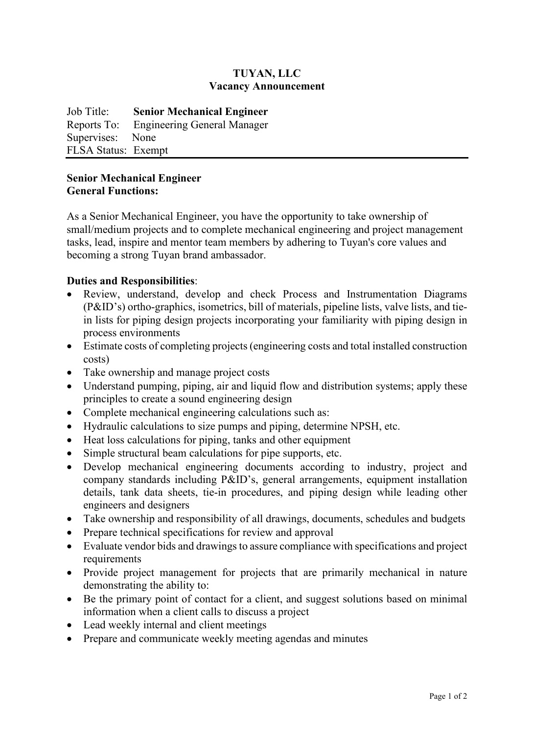# **TUYAN, LLC Vacancy Announcement**

Job Title: **Senior Mechanical Engineer** Reports To: Engineering General Manager Supervises: None FLSA Status: Exempt

#### **Senior Mechanical Engineer General Functions:**

As a Senior Mechanical Engineer, you have the opportunity to take ownership of small/medium projects and to complete mechanical engineering and project management tasks, lead, inspire and mentor team members by adhering to Tuyan's core values and becoming a strong Tuyan brand ambassador.

# **Duties and Responsibilities**:

- Review, understand, develop and check Process and Instrumentation Diagrams (P&ID's) ortho-graphics, isometrics, bill of materials, pipeline lists, valve lists, and tiein lists for piping design projects incorporating your familiarity with piping design in process environments
- Estimate costs of completing projects (engineering costs and total installed construction costs)
- Take ownership and manage project costs
- Understand pumping, piping, air and liquid flow and distribution systems; apply these principles to create a sound engineering design
- Complete mechanical engineering calculations such as:
- Hydraulic calculations to size pumps and piping, determine NPSH, etc.
- Heat loss calculations for piping, tanks and other equipment
- Simple structural beam calculations for pipe supports, etc.
- Develop mechanical engineering documents according to industry, project and company standards including P&ID's, general arrangements, equipment installation details, tank data sheets, tie-in procedures, and piping design while leading other engineers and designers
- Take ownership and responsibility of all drawings, documents, schedules and budgets
- Prepare technical specifications for review and approval
- Evaluate vendor bids and drawings to assure compliance with specifications and project requirements
- Provide project management for projects that are primarily mechanical in nature demonstrating the ability to:
- Be the primary point of contact for a client, and suggest solutions based on minimal information when a client calls to discuss a project
- Lead weekly internal and client meetings
- Prepare and communicate weekly meeting agendas and minutes